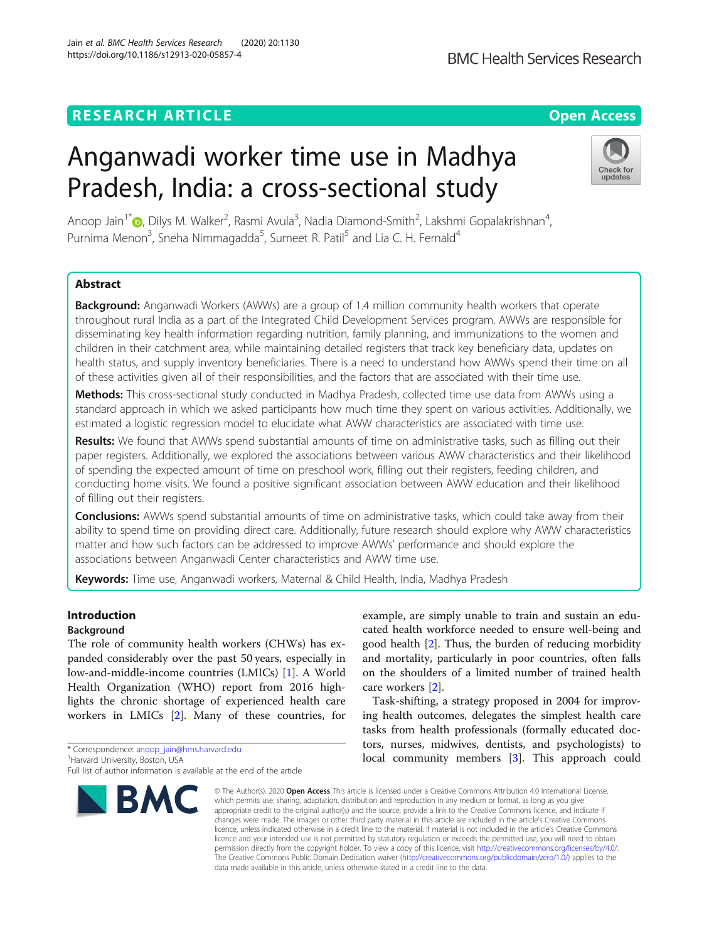# **RESEARCH ARTICLE Example 2014 12:30 The Contract of Contract ACCESS**

# Anganwadi worker time use in Madhya Pradesh, India: a cross-sectional study

Anoop Jain<sup>1\*</sup>�[,](http://orcid.org/0000-0002-3126-4223) Dilys M. Walker<sup>2</sup>, Rasmi Avula<sup>3</sup>, Nadia Diamond-Smith<sup>2</sup>, Lakshmi Gopalakrishnan<sup>4</sup> , Purnima Menon<sup>3</sup>, Sneha Nimmagadda<sup>5</sup>, Sumeet R. Patil<sup>5</sup> and Lia C. H. Fernald<sup>4</sup>

# Abstract

**Background:** Anganwadi Workers (AWWs) are a group of 1.4 million community health workers that operate throughout rural India as a part of the Integrated Child Development Services program. AWWs are responsible for disseminating key health information regarding nutrition, family planning, and immunizations to the women and children in their catchment area, while maintaining detailed registers that track key beneficiary data, updates on health status, and supply inventory beneficiaries. There is a need to understand how AWWs spend their time on all of these activities given all of their responsibilities, and the factors that are associated with their time use.

Methods: This cross-sectional study conducted in Madhya Pradesh, collected time use data from AWWs using a standard approach in which we asked participants how much time they spent on various activities. Additionally, we estimated a logistic regression model to elucidate what AWW characteristics are associated with time use.

Results: We found that AWWs spend substantial amounts of time on administrative tasks, such as filling out their paper registers. Additionally, we explored the associations between various AWW characteristics and their likelihood of spending the expected amount of time on preschool work, filling out their registers, feeding children, and conducting home visits. We found a positive significant association between AWW education and their likelihood of filling out their registers.

**Conclusions:** AWWs spend substantial amounts of time on administrative tasks, which could take away from their ability to spend time on providing direct care. Additionally, future research should explore why AWW characteristics matter and how such factors can be addressed to improve AWWs' performance and should explore the associations between Anganwadi Center characteristics and AWW time use.

Keywords: Time use, Anganwadi workers, Maternal & Child Health, India, Madhya Pradesh

# Introduction

# Background

The role of community health workers (CHWs) has expanded considerably over the past 50 years, especially in low-and-middle-income countries (LMICs) [\[1](#page-7-0)]. A World Health Organization (WHO) report from 2016 highlights the chronic shortage of experienced health care workers in LMICs [\[2](#page-7-0)]. Many of these countries, for

\* Correspondence: [anoop\\_jain@hms.harvard.edu](mailto:anoop_jain@hms.harvard.edu) <sup>1</sup>

**BMC** 

Jain et al. BMC Health Services Research (2020) 20:1130 https://doi.org/10.1186/s12913-020-05857-4

> © The Author(s), 2020 **Open Access** This article is licensed under a Creative Commons Attribution 4.0 International License, which permits use, sharing, adaptation, distribution and reproduction in any medium or format, as long as you give appropriate credit to the original author(s) and the source, provide a link to the Creative Commons licence, and indicate if changes were made. The images or other third party material in this article are included in the article's Creative Commons licence, unless indicated otherwise in a credit line to the material. If material is not included in the article's Creative Commons licence and your intended use is not permitted by statutory regulation or exceeds the permitted use, you will need to obtain permission directly from the copyright holder. To view a copy of this licence, visit [http://creativecommons.org/licenses/by/4.0/.](http://creativecommons.org/licenses/by/4.0/) The Creative Commons Public Domain Dedication waiver [\(http://creativecommons.org/publicdomain/zero/1.0/](http://creativecommons.org/publicdomain/zero/1.0/)) applies to the data made available in this article, unless otherwise stated in a credit line to the data.

example, are simply unable to train and sustain an educated health workforce needed to ensure well-being and good health [[2\]](#page-7-0). Thus, the burden of reducing morbidity and mortality, particularly in poor countries, often falls on the shoulders of a limited number of trained health care workers [\[2\]](#page-7-0).

Task-shifting, a strategy proposed in 2004 for improving health outcomes, delegates the simplest health care tasks from health professionals (formally educated doctors, nurses, midwives, dentists, and psychologists) to local community members [[3\]](#page-7-0). This approach could







<sup>&</sup>lt;sup>1</sup> Harvard University, Boston, USA

Full list of author information is available at the end of the article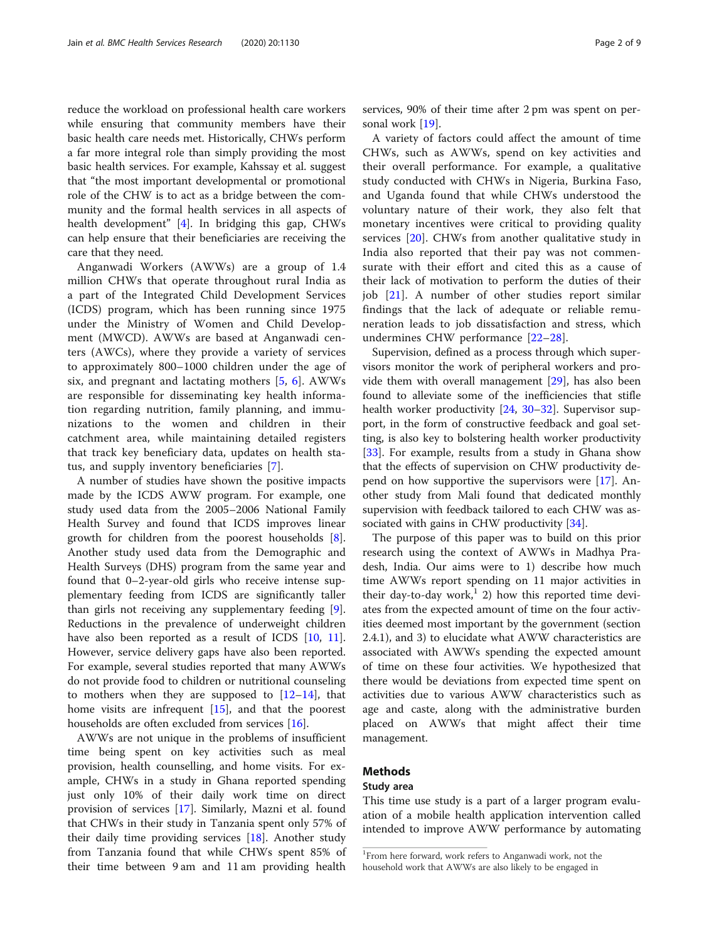reduce the workload on professional health care workers while ensuring that community members have their basic health care needs met. Historically, CHWs perform a far more integral role than simply providing the most basic health services. For example, Kahssay et al. suggest that "the most important developmental or promotional role of the CHW is to act as a bridge between the community and the formal health services in all aspects of health development" [[4\]](#page-7-0). In bridging this gap, CHWs can help ensure that their beneficiaries are receiving the care that they need.

Anganwadi Workers (AWWs) are a group of 1.4 million CHWs that operate throughout rural India as a part of the Integrated Child Development Services (ICDS) program, which has been running since 1975 under the Ministry of Women and Child Development (MWCD). AWWs are based at Anganwadi centers (AWCs), where they provide a variety of services to approximately 800–1000 children under the age of six, and pregnant and lactating mothers [\[5](#page-7-0), [6](#page-7-0)]. AWWs are responsible for disseminating key health information regarding nutrition, family planning, and immunizations to the women and children in their catchment area, while maintaining detailed registers that track key beneficiary data, updates on health status, and supply inventory beneficiaries [[7\]](#page-7-0).

A number of studies have shown the positive impacts made by the ICDS AWW program. For example, one study used data from the 2005–2006 National Family Health Survey and found that ICDS improves linear growth for children from the poorest households [\[8](#page-7-0)]. Another study used data from the Demographic and Health Surveys (DHS) program from the same year and found that 0–2-year-old girls who receive intense supplementary feeding from ICDS are significantly taller than girls not receiving any supplementary feeding [\[9](#page-7-0)]. Reductions in the prevalence of underweight children have also been reported as a result of ICDS [[10](#page-7-0), [11](#page-7-0)]. However, service delivery gaps have also been reported. For example, several studies reported that many AWWs do not provide food to children or nutritional counseling to mothers when they are supposed to  $[12-14]$  $[12-14]$  $[12-14]$ , that home visits are infrequent  $[15]$  $[15]$  $[15]$ , and that the poorest households are often excluded from services [[16](#page-7-0)].

AWWs are not unique in the problems of insufficient time being spent on key activities such as meal provision, health counselling, and home visits. For example, CHWs in a study in Ghana reported spending just only 10% of their daily work time on direct provision of services [[17\]](#page-7-0). Similarly, Mazni et al. found that CHWs in their study in Tanzania spent only 57% of their daily time providing services [\[18\]](#page-7-0). Another study from Tanzania found that while CHWs spent 85% of their time between 9 am and 11 am providing health services, 90% of their time after 2 pm was spent on personal work [[19](#page-7-0)].

A variety of factors could affect the amount of time CHWs, such as AWWs, spend on key activities and their overall performance. For example, a qualitative study conducted with CHWs in Nigeria, Burkina Faso, and Uganda found that while CHWs understood the voluntary nature of their work, they also felt that monetary incentives were critical to providing quality services [\[20](#page-8-0)]. CHWs from another qualitative study in India also reported that their pay was not commensurate with their effort and cited this as a cause of their lack of motivation to perform the duties of their job [[21](#page-8-0)]. A number of other studies report similar findings that the lack of adequate or reliable remuneration leads to job dissatisfaction and stress, which undermines CHW performance [\[22](#page-8-0)–[28](#page-8-0)].

Supervision, defined as a process through which supervisors monitor the work of peripheral workers and provide them with overall management [[29\]](#page-8-0), has also been found to alleviate some of the inefficiencies that stifle health worker productivity [[24,](#page-8-0) [30](#page-8-0)–[32](#page-8-0)]. Supervisor support, in the form of constructive feedback and goal setting, is also key to bolstering health worker productivity [[33\]](#page-8-0). For example, results from a study in Ghana show that the effects of supervision on CHW productivity depend on how supportive the supervisors were [[17](#page-7-0)]. Another study from Mali found that dedicated monthly supervision with feedback tailored to each CHW was as-sociated with gains in CHW productivity [[34\]](#page-8-0).

The purpose of this paper was to build on this prior research using the context of AWWs in Madhya Pradesh, India. Our aims were to 1) describe how much time AWWs report spending on 11 major activities in their day-to-day work,<sup>1</sup> 2) how this reported time deviates from the expected amount of time on the four activities deemed most important by the government (section 2.4.1), and 3) to elucidate what AWW characteristics are associated with AWWs spending the expected amount of time on these four activities. We hypothesized that there would be deviations from expected time spent on activities due to various AWW characteristics such as age and caste, along with the administrative burden placed on AWWs that might affect their time management.

## Methods

#### Study area

This time use study is a part of a larger program evaluation of a mobile health application intervention called intended to improve AWW performance by automating

<sup>1</sup> From here forward, work refers to Anganwadi work, not the household work that AWWs are also likely to be engaged in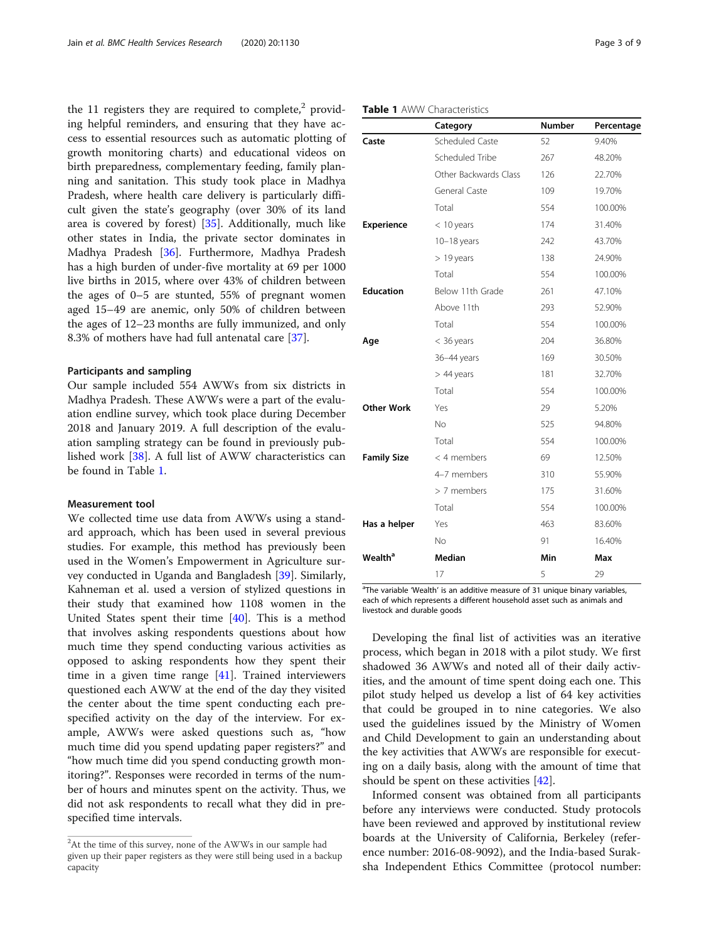<span id="page-2-0"></span>the 11 registers they are required to complete, $2$  providing helpful reminders, and ensuring that they have access to essential resources such as automatic plotting of growth monitoring charts) and educational videos on birth preparedness, complementary feeding, family planning and sanitation. This study took place in Madhya Pradesh, where health care delivery is particularly difficult given the state's geography (over 30% of its land area is covered by forest) [\[35](#page-8-0)]. Additionally, much like other states in India, the private sector dominates in Madhya Pradesh [\[36](#page-8-0)]. Furthermore, Madhya Pradesh has a high burden of under-five mortality at 69 per 1000 live births in 2015, where over 43% of children between the ages of 0–5 are stunted, 55% of pregnant women aged 15–49 are anemic, only 50% of children between the ages of 12–23 months are fully immunized, and only 8.3% of mothers have had full antenatal care [[37\]](#page-8-0).

#### Participants and sampling

Our sample included 554 AWWs from six districts in Madhya Pradesh. These AWWs were a part of the evaluation endline survey, which took place during December 2018 and January 2019. A full description of the evaluation sampling strategy can be found in previously published work [\[38](#page-8-0)]. A full list of AWW characteristics can be found in Table 1.

#### Measurement tool

We collected time use data from AWWs using a standard approach, which has been used in several previous studies. For example, this method has previously been used in the Women's Empowerment in Agriculture survey conducted in Uganda and Bangladesh [\[39](#page-8-0)]. Similarly, Kahneman et al. used a version of stylized questions in their study that examined how 1108 women in the United States spent their time [[40](#page-8-0)]. This is a method that involves asking respondents questions about how much time they spend conducting various activities as opposed to asking respondents how they spent their time in a given time range [[41](#page-8-0)]. Trained interviewers questioned each AWW at the end of the day they visited the center about the time spent conducting each prespecified activity on the day of the interview. For example, AWWs were asked questions such as, "how much time did you spend updating paper registers?" and "how much time did you spend conducting growth monitoring?". Responses were recorded in terms of the number of hours and minutes spent on the activity. Thus, we did not ask respondents to recall what they did in prespecified time intervals.

#### Table 1 AWW Characteristics

| Scheduled Caste       |     |         |
|-----------------------|-----|---------|
|                       | 52  | 9.40%   |
| Scheduled Tribe       | 267 | 48.20%  |
| Other Backwards Class | 126 | 22.70%  |
| General Caste         | 109 | 19.70%  |
| Total                 | 554 | 100.00% |
| $<$ 10 years          | 174 | 31.40%  |
| $10-18$ years         | 242 | 43.70%  |
| $> 19$ years          | 138 | 24.90%  |
| Total                 | 554 | 100.00% |
| Below 11th Grade      | 261 | 47.10%  |
| Above 11th            | 293 | 52.90%  |
| Total                 | 554 | 100.00% |
| $<$ 36 years          | 204 | 36.80%  |
| 36-44 years           | 169 | 30.50%  |
| $>$ 44 years          | 181 | 32.70%  |
| Total                 | 554 | 100.00% |
| Yes                   | 29  | 5.20%   |
| No                    | 525 | 94.80%  |
| Total                 | 554 | 100.00% |
| < 4 members           | 69  | 12.50%  |
| 4-7 members           | 310 | 55.90%  |
| > 7 members           | 175 | 31.60%  |
| Total                 | 554 | 100.00% |
| Yes                   | 463 | 83.60%  |
| <b>No</b>             | 91  | 16.40%  |
| Median                | Min | Max     |
| 17                    | 5   | 29      |
|                       |     |         |

<sup>a</sup>The variable 'Wealth' is an additive measure of 31 unique binary variables, each of which represents a different household asset such as animals and livestock and durable goods

Developing the final list of activities was an iterative process, which began in 2018 with a pilot study. We first shadowed 36 AWWs and noted all of their daily activities, and the amount of time spent doing each one. This pilot study helped us develop a list of 64 key activities that could be grouped in to nine categories. We also used the guidelines issued by the Ministry of Women and Child Development to gain an understanding about the key activities that AWWs are responsible for executing on a daily basis, along with the amount of time that should be spent on these activities [\[42](#page-8-0)].

Informed consent was obtained from all participants before any interviews were conducted. Study protocols have been reviewed and approved by institutional review boards at the University of California, Berkeley (reference number: 2016-08-9092), and the India-based Suraksha Independent Ethics Committee (protocol number:

 $2$ At the time of this survey, none of the AWWs in our sample had given up their paper registers as they were still being used in a backup capacity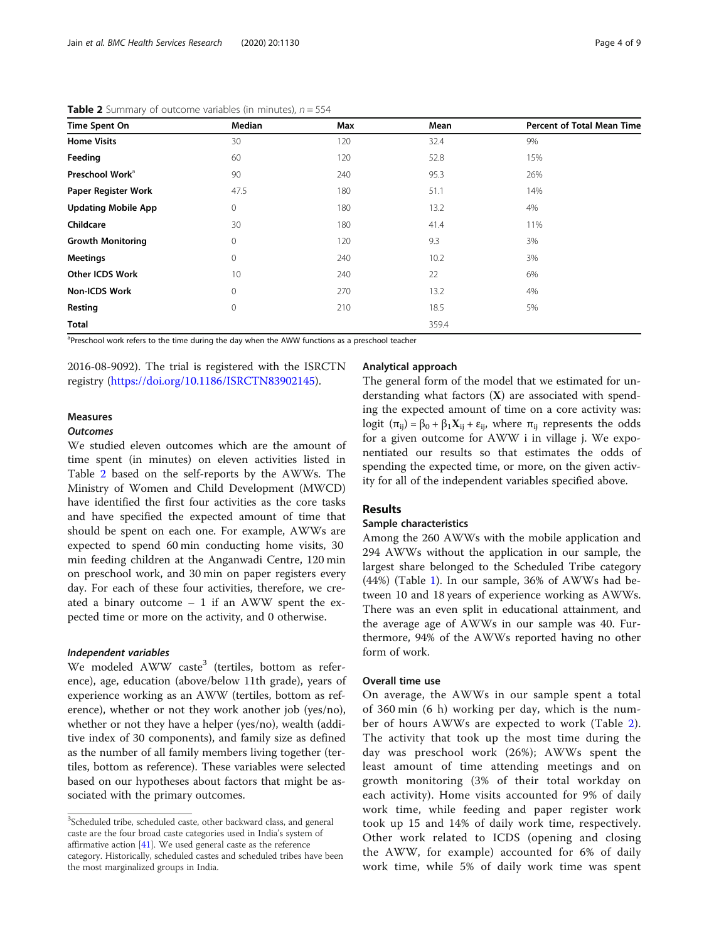| Time Spent On               | Median       | Max | Mean  | <b>Percent of Total Mean Time</b> |
|-----------------------------|--------------|-----|-------|-----------------------------------|
| <b>Home Visits</b>          | 30           | 120 | 32.4  | 9%                                |
| Feeding                     | 60           | 120 | 52.8  | 15%                               |
| Preschool Work <sup>a</sup> | 90           | 240 | 95.3  | 26%                               |
| Paper Register Work         | 47.5         | 180 | 51.1  | 14%                               |
| <b>Updating Mobile App</b>  | $\mathbf{0}$ | 180 | 13.2  | 4%                                |
| Childcare                   | 30           | 180 | 41.4  | 11%                               |
| <b>Growth Monitoring</b>    | $\mathbf{0}$ | 120 | 9.3   | 3%                                |
| <b>Meetings</b>             | $\mathbf{0}$ | 240 | 10.2  | 3%                                |
| <b>Other ICDS Work</b>      | 10           | 240 | 22    | 6%                                |
| <b>Non-ICDS Work</b>        | $\mathbf{0}$ | 270 | 13.2  | 4%                                |
| Resting                     | $\mathbf{0}$ | 210 | 18.5  | 5%                                |
| <b>Total</b>                |              |     | 359.4 |                                   |

**Table 2** Summary of outcome variables (in minutes),  $n = 554$ 

<sup>a</sup>Preschool work refers to the time during the day when the AWW functions as a preschool teacher

2016-08-9092). The trial is registered with the ISRCTN registry [\(https://doi.org/10.1186/ISRCTN83902145\)](https://doi.org/10.1186/ISRCTN83902145).

#### Measures

#### **Outcomes**

We studied eleven outcomes which are the amount of time spent (in minutes) on eleven activities listed in Table 2 based on the self-reports by the AWWs. The Ministry of Women and Child Development (MWCD) have identified the first four activities as the core tasks and have specified the expected amount of time that should be spent on each one. For example, AWWs are expected to spend 60 min conducting home visits, 30 min feeding children at the Anganwadi Centre, 120 min on preschool work, and 30 min on paper registers every day. For each of these four activities, therefore, we created a binary outcome – 1 if an AWW spent the expected time or more on the activity, and 0 otherwise.

#### Independent variables

We modeled AWW caste<sup>3</sup> (tertiles, bottom as reference), age, education (above/below 11th grade), years of experience working as an AWW (tertiles, bottom as reference), whether or not they work another job (yes/no), whether or not they have a helper (yes/no), wealth (additive index of 30 components), and family size as defined as the number of all family members living together (tertiles, bottom as reference). These variables were selected based on our hypotheses about factors that might be associated with the primary outcomes.

#### Analytical approach

The general form of the model that we estimated for understanding what factors (X) are associated with spending the expected amount of time on a core activity was: logit  $(\pi_{ii}) = \beta_0 + \beta_1 X_{ii} + \varepsilon_{ii}$ , where  $\pi_{ii}$  represents the odds for a given outcome for AWW i in village j. We exponentiated our results so that estimates the odds of spending the expected time, or more, on the given activity for all of the independent variables specified above.

#### Results

#### Sample characteristics

Among the 260 AWWs with the mobile application and 294 AWWs without the application in our sample, the largest share belonged to the Scheduled Tribe category (44%) (Table [1](#page-2-0)). In our sample, 36% of AWWs had between 10 and 18 years of experience working as AWWs. There was an even split in educational attainment, and the average age of AWWs in our sample was 40. Furthermore, 94% of the AWWs reported having no other form of work.

#### Overall time use

On average, the AWWs in our sample spent a total of 360 min (6 h) working per day, which is the number of hours AWWs are expected to work (Table 2). The activity that took up the most time during the day was preschool work (26%); AWWs spent the least amount of time attending meetings and on growth monitoring (3% of their total workday on each activity). Home visits accounted for 9% of daily work time, while feeding and paper register work took up 15 and 14% of daily work time, respectively. Other work related to ICDS (opening and closing the AWW, for example) accounted for 6% of daily work time, while 5% of daily work time was spent

<sup>&</sup>lt;sup>3</sup>Scheduled tribe, scheduled caste, other backward class, and general caste are the four broad caste categories used in India's system of affirmative action [[41\]](#page-8-0). We used general caste as the reference category. Historically, scheduled castes and scheduled tribes have been the most marginalized groups in India.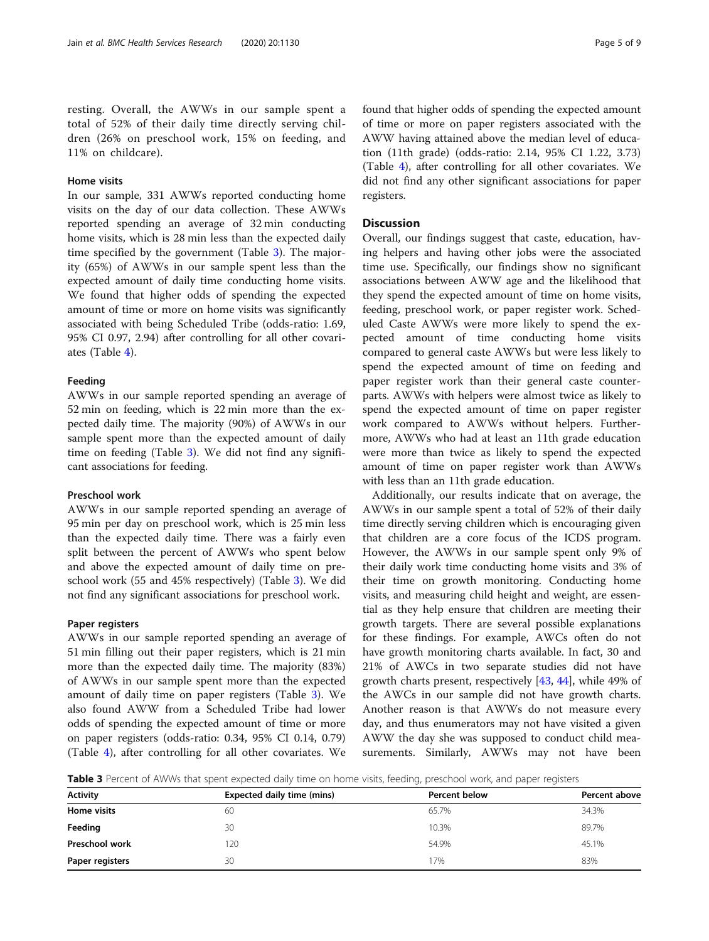resting. Overall, the AWWs in our sample spent a total of 52% of their daily time directly serving children (26% on preschool work, 15% on feeding, and 11% on childcare).

#### Home visits

In our sample, 331 AWWs reported conducting home visits on the day of our data collection. These AWWs reported spending an average of 32 min conducting home visits, which is 28 min less than the expected daily time specified by the government (Table 3). The majority (65%) of AWWs in our sample spent less than the expected amount of daily time conducting home visits. We found that higher odds of spending the expected amount of time or more on home visits was significantly associated with being Scheduled Tribe (odds-ratio: 1.69, 95% CI 0.97, 2.94) after controlling for all other covariates (Table [4](#page-5-0)).

#### Feeding

AWWs in our sample reported spending an average of 52 min on feeding, which is 22 min more than the expected daily time. The majority (90%) of AWWs in our sample spent more than the expected amount of daily time on feeding (Table 3). We did not find any significant associations for feeding.

#### Preschool work

AWWs in our sample reported spending an average of 95 min per day on preschool work, which is 25 min less than the expected daily time. There was a fairly even split between the percent of AWWs who spent below and above the expected amount of daily time on preschool work (55 and 45% respectively) (Table 3). We did not find any significant associations for preschool work.

#### Paper registers

AWWs in our sample reported spending an average of 51 min filling out their paper registers, which is 21 min more than the expected daily time. The majority (83%) of AWWs in our sample spent more than the expected amount of daily time on paper registers (Table 3). We also found AWW from a Scheduled Tribe had lower odds of spending the expected amount of time or more on paper registers (odds-ratio: 0.34, 95% CI 0.14, 0.79) (Table [4](#page-5-0)), after controlling for all other covariates. We found that higher odds of spending the expected amount of time or more on paper registers associated with the AWW having attained above the median level of education (11th grade) (odds-ratio: 2.14, 95% CI 1.22, 3.73) (Table [4](#page-5-0)), after controlling for all other covariates. We did not find any other significant associations for paper registers.

#### **Discussion**

Overall, our findings suggest that caste, education, having helpers and having other jobs were the associated time use. Specifically, our findings show no significant associations between AWW age and the likelihood that they spend the expected amount of time on home visits, feeding, preschool work, or paper register work. Scheduled Caste AWWs were more likely to spend the expected amount of time conducting home visits compared to general caste AWWs but were less likely to spend the expected amount of time on feeding and paper register work than their general caste counterparts. AWWs with helpers were almost twice as likely to spend the expected amount of time on paper register work compared to AWWs without helpers. Furthermore, AWWs who had at least an 11th grade education were more than twice as likely to spend the expected amount of time on paper register work than AWWs with less than an 11th grade education.

Additionally, our results indicate that on average, the AWWs in our sample spent a total of 52% of their daily time directly serving children which is encouraging given that children are a core focus of the ICDS program. However, the AWWs in our sample spent only 9% of their daily work time conducting home visits and 3% of their time on growth monitoring. Conducting home visits, and measuring child height and weight, are essential as they help ensure that children are meeting their growth targets. There are several possible explanations for these findings. For example, AWCs often do not have growth monitoring charts available. In fact, 30 and 21% of AWCs in two separate studies did not have growth charts present, respectively [\[43,](#page-8-0) [44\]](#page-8-0), while 49% of the AWCs in our sample did not have growth charts. Another reason is that AWWs do not measure every day, and thus enumerators may not have visited a given AWW the day she was supposed to conduct child measurements. Similarly, AWWs may not have been

**Table 3** Percent of AWWs that spent expected daily time on home visits, feeding, preschool work, and paper registers

| <b>Activity</b>       | <b>Expected daily time (mins)</b> | <b>Percent below</b> | Percent above |  |
|-----------------------|-----------------------------------|----------------------|---------------|--|
| Home visits           | 60                                | 65.7%                | 34.3%         |  |
| Feeding               | 30                                | 10.3%                | 89.7%         |  |
| <b>Preschool work</b> | 120                               | 54.9%                | 45.1%         |  |
| Paper registers       | 30                                | 17%                  | 83%           |  |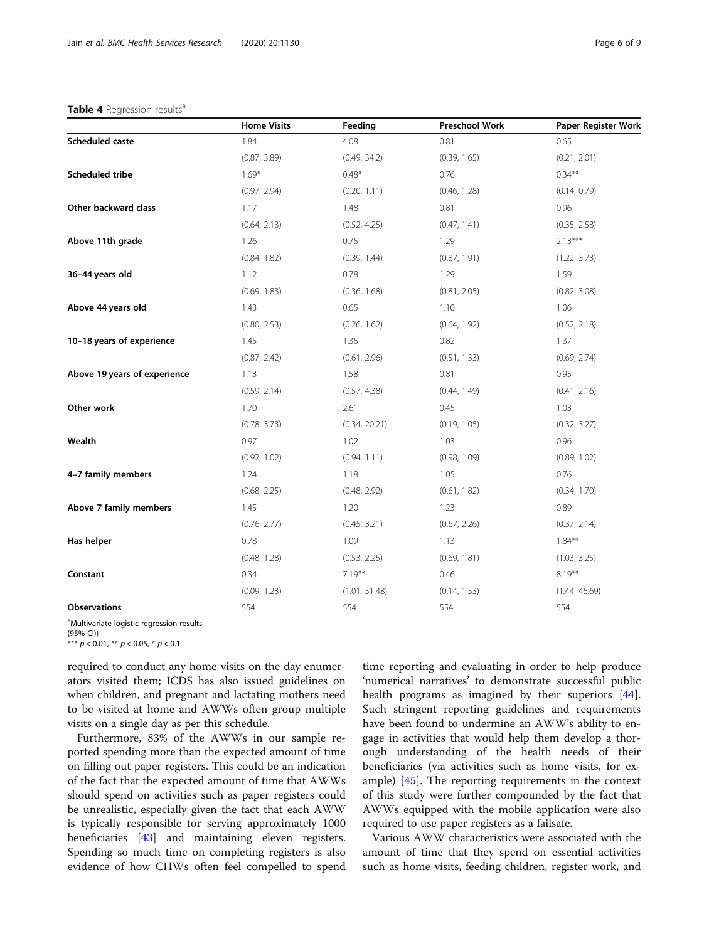#### <span id="page-5-0"></span>Table 4 Regression results<sup>a</sup>

|                              | <b>Home Visits</b> | Feeding       | <b>Preschool Work</b> | Paper Register Work |
|------------------------------|--------------------|---------------|-----------------------|---------------------|
| <b>Scheduled caste</b>       | 1.84               | 4.08          | 0.81                  | 0.65                |
|                              | (0.87, 3.89)       | (0.49, 34.2)  | (0.39, 1.65)          | (0.21, 2.01)        |
| Scheduled tribe              | $1.69*$            | $0.48*$       | 0.76                  | $0.34***$           |
|                              | (0.97, 2.94)       | (0.20, 1.11)  | (0.46, 1.28)          | (0.14, 0.79)        |
| Other backward class         | 1.17               | 1.48          | 0.81                  | 0.96                |
|                              | (0.64, 2.13)       | (0.52, 4.25)  | (0.47, 1.41)          | (0.35, 2.58)        |
| Above 11th grade             | 1.26               | 0.75          | 1.29                  | $2.13***$           |
|                              | (0.84, 1.82)       | (0.39, 1.44)  | (0.87, 1.91)          | (1.22, 3.73)        |
| 36-44 years old              | 1.12               | 0.78          | 1.29                  | 1.59                |
|                              | (0.69, 1.83)       | (0.36, 1.68)  | (0.81, 2.05)          | (0.82, 3.08)        |
| Above 44 years old           | 1.43               | 0.65          | 1.10                  | 1.06                |
|                              | (0.80, 2.53)       | (0.26, 1.62)  | (0.64, 1.92)          | (0.52, 2.18)        |
| 10-18 years of experience    | 1.45               | 1.35          | 0.82                  | 1.37                |
|                              | (0.87, 2.42)       | (0.61, 2.96)  | (0.51, 1.33)          | (0.69, 2.74)        |
| Above 19 years of experience | 1.13               | 1.58          | 0.81                  | 0.95                |
|                              | (0.59, 2.14)       | (0.57, 4.38)  | (0.44, 1.49)          | (0.41, 2.16)        |
| Other work                   | 1.70               | 2.61          | 0.45                  | 1.03                |
|                              | (0.78, 3.73)       | (0.34, 20.21) | (0.19, 1.05)          | (0.32, 3.27)        |
| Wealth                       | 0.97               | 1.02          | 1.03                  | 0.96                |
|                              | (0.92, 1.02)       | (0.94, 1.11)  | (0.98, 1.09)          | (0.89, 1.02)        |
| 4-7 family members           | 1.24               | 1.18          | 1.05                  | 0.76                |
|                              | (0.68, 2.25)       | (0.48, 2.92)  | (0.61, 1.82)          | (0.34, 1.70)        |
| Above 7 family members       | 1.45               | 1.20          | 1.23                  | 0.89                |
|                              | (0.76, 2.77)       | (0.45, 3.21)  | (0.67, 2.26)          | (0.37, 2.14)        |
| Has helper                   | 0.78               | 1.09          | 1.13                  | $1.84***$           |
|                              | (0.48, 1.28)       | (0.53, 2.25)  | (0.69, 1.81)          | (1.03, 3.25)        |
| Constant                     | 0.34               | $7.19***$     | 0.46                  | $8.19***$           |
|                              | (0.09, 1.23)       | (1.01, 51.48) | (0.14, 1.53)          | (1.44, 46.69)       |
| <b>Observations</b>          | 554                | 554           | 554                   | 554                 |

<sup>a</sup>Multivariate logistic regression results

(95% CI))

\*\*\*  $p < 0.01$ , \*\*  $p < 0.05$ , \*  $p < 0.1$ 

required to conduct any home visits on the day enumerators visited them; ICDS has also issued guidelines on when children, and pregnant and lactating mothers need to be visited at home and AWWs often group multiple visits on a single day as per this schedule.

Furthermore, 83% of the AWWs in our sample reported spending more than the expected amount of time on filling out paper registers. This could be an indication of the fact that the expected amount of time that AWWs should spend on activities such as paper registers could be unrealistic, especially given the fact that each AWW is typically responsible for serving approximately 1000 beneficiaries [[43](#page-8-0)] and maintaining eleven registers. Spending so much time on completing registers is also evidence of how CHWs often feel compelled to spend

time reporting and evaluating in order to help produce 'numerical narratives' to demonstrate successful public health programs as imagined by their superiors [\[44](#page-8-0)]. Such stringent reporting guidelines and requirements have been found to undermine an AWW's ability to engage in activities that would help them develop a thorough understanding of the health needs of their beneficiaries (via activities such as home visits, for example) [[45\]](#page-8-0). The reporting requirements in the context of this study were further compounded by the fact that AWWs equipped with the mobile application were also required to use paper registers as a failsafe.

Various AWW characteristics were associated with the amount of time that they spend on essential activities such as home visits, feeding children, register work, and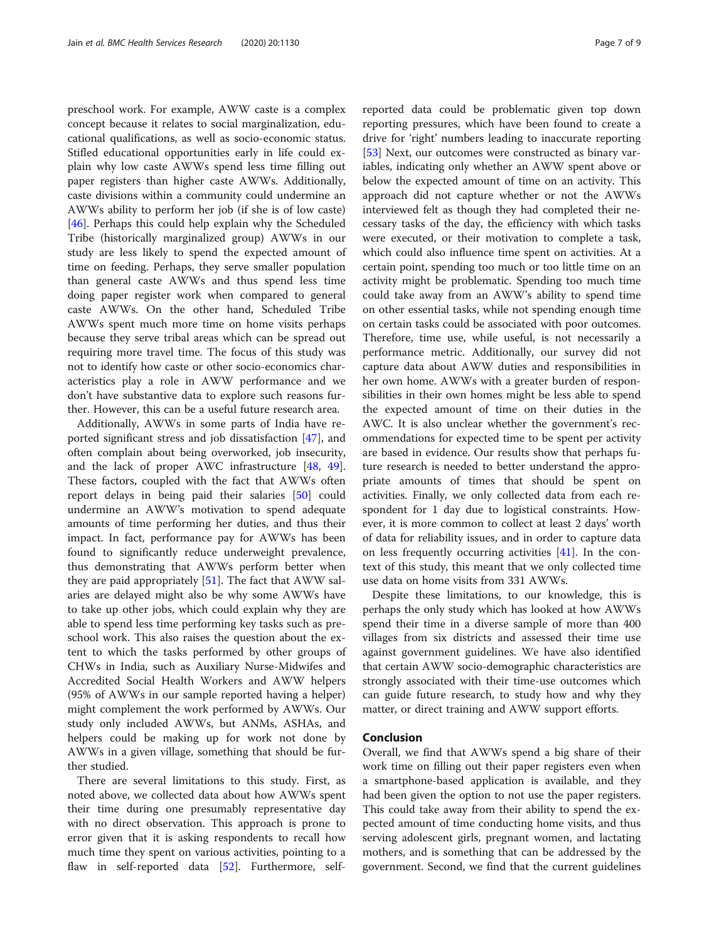preschool work. For example, AWW caste is a complex concept because it relates to social marginalization, educational qualifications, as well as socio-economic status. Stifled educational opportunities early in life could explain why low caste AWWs spend less time filling out paper registers than higher caste AWWs. Additionally, caste divisions within a community could undermine an AWWs ability to perform her job (if she is of low caste) [[46\]](#page-8-0). Perhaps this could help explain why the Scheduled Tribe (historically marginalized group) AWWs in our study are less likely to spend the expected amount of time on feeding. Perhaps, they serve smaller population than general caste AWWs and thus spend less time doing paper register work when compared to general caste AWWs. On the other hand, Scheduled Tribe AWWs spent much more time on home visits perhaps because they serve tribal areas which can be spread out requiring more travel time. The focus of this study was not to identify how caste or other socio-economics characteristics play a role in AWW performance and we don't have substantive data to explore such reasons further. However, this can be a useful future research area.

Additionally, AWWs in some parts of India have reported significant stress and job dissatisfaction [[47\]](#page-8-0), and often complain about being overworked, job insecurity, and the lack of proper AWC infrastructure [[48,](#page-8-0) [49](#page-8-0)]. These factors, coupled with the fact that AWWs often report delays in being paid their salaries [[50\]](#page-8-0) could undermine an AWW's motivation to spend adequate amounts of time performing her duties, and thus their impact. In fact, performance pay for AWWs has been found to significantly reduce underweight prevalence, thus demonstrating that AWWs perform better when they are paid appropriately  $[51]$  $[51]$  $[51]$ . The fact that AWW salaries are delayed might also be why some AWWs have to take up other jobs, which could explain why they are able to spend less time performing key tasks such as preschool work. This also raises the question about the extent to which the tasks performed by other groups of CHWs in India, such as Auxiliary Nurse-Midwifes and Accredited Social Health Workers and AWW helpers (95% of AWWs in our sample reported having a helper) might complement the work performed by AWWs. Our study only included AWWs, but ANMs, ASHAs, and helpers could be making up for work not done by AWWs in a given village, something that should be further studied.

There are several limitations to this study. First, as noted above, we collected data about how AWWs spent their time during one presumably representative day with no direct observation. This approach is prone to error given that it is asking respondents to recall how much time they spent on various activities, pointing to a flaw in self-reported data [\[52](#page-8-0)]. Furthermore, self-

reported data could be problematic given top down reporting pressures, which have been found to create a drive for 'right' numbers leading to inaccurate reporting [[53\]](#page-8-0) Next, our outcomes were constructed as binary variables, indicating only whether an AWW spent above or below the expected amount of time on an activity. This approach did not capture whether or not the AWWs interviewed felt as though they had completed their necessary tasks of the day, the efficiency with which tasks were executed, or their motivation to complete a task, which could also influence time spent on activities. At a certain point, spending too much or too little time on an activity might be problematic. Spending too much time could take away from an AWW's ability to spend time on other essential tasks, while not spending enough time on certain tasks could be associated with poor outcomes. Therefore, time use, while useful, is not necessarily a performance metric. Additionally, our survey did not capture data about AWW duties and responsibilities in her own home. AWWs with a greater burden of responsibilities in their own homes might be less able to spend the expected amount of time on their duties in the AWC. It is also unclear whether the government's recommendations for expected time to be spent per activity are based in evidence. Our results show that perhaps future research is needed to better understand the appropriate amounts of times that should be spent on activities. Finally, we only collected data from each respondent for 1 day due to logistical constraints. However, it is more common to collect at least 2 days' worth of data for reliability issues, and in order to capture data on less frequently occurring activities [\[41](#page-8-0)]. In the context of this study, this meant that we only collected time use data on home visits from 331 AWWs.

Despite these limitations, to our knowledge, this is perhaps the only study which has looked at how AWWs spend their time in a diverse sample of more than 400 villages from six districts and assessed their time use against government guidelines. We have also identified that certain AWW socio-demographic characteristics are strongly associated with their time-use outcomes which can guide future research, to study how and why they matter, or direct training and AWW support efforts.

### Conclusion

Overall, we find that AWWs spend a big share of their work time on filling out their paper registers even when a smartphone-based application is available, and they had been given the option to not use the paper registers. This could take away from their ability to spend the expected amount of time conducting home visits, and thus serving adolescent girls, pregnant women, and lactating mothers, and is something that can be addressed by the government. Second, we find that the current guidelines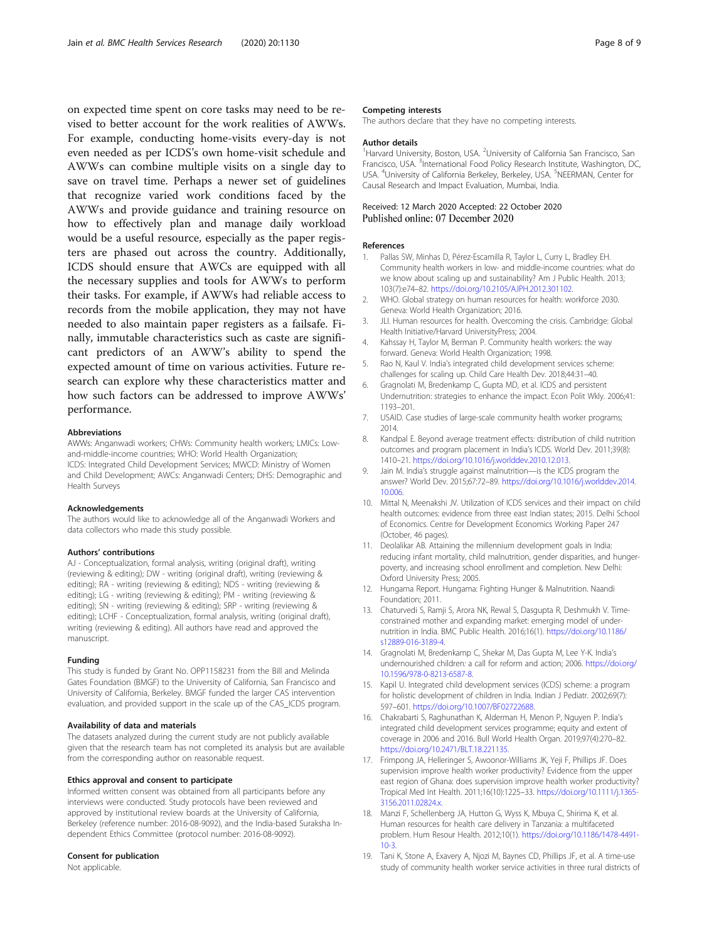<span id="page-7-0"></span>on expected time spent on core tasks may need to be revised to better account for the work realities of AWWs. For example, conducting home-visits every-day is not even needed as per ICDS's own home-visit schedule and AWWs can combine multiple visits on a single day to save on travel time. Perhaps a newer set of guidelines that recognize varied work conditions faced by the AWWs and provide guidance and training resource on how to effectively plan and manage daily workload would be a useful resource, especially as the paper registers are phased out across the country. Additionally, ICDS should ensure that AWCs are equipped with all the necessary supplies and tools for AWWs to perform their tasks. For example, if AWWs had reliable access to records from the mobile application, they may not have needed to also maintain paper registers as a failsafe. Finally, immutable characteristics such as caste are significant predictors of an AWW's ability to spend the expected amount of time on various activities. Future research can explore why these characteristics matter and how such factors can be addressed to improve AWWs' performance.

#### Abbreviations

AWWs: Anganwadi workers; CHWs: Community health workers; LMICs: Lowand-middle-income countries; WHO: World Health Organization; ICDS: Integrated Child Development Services; MWCD: Ministry of Women and Child Development; AWCs: Anganwadi Centers; DHS: Demographic and Health Surveys

#### Acknowledgements

The authors would like to acknowledge all of the Anganwadi Workers and data collectors who made this study possible.

#### Authors' contributions

AJ - Conceptualization, formal analysis, writing (original draft), writing (reviewing & editing); DW - writing (original draft), writing (reviewing & editing); RA - writing (reviewing & editing); NDS - writing (reviewing & editing); LG - writing (reviewing & editing); PM - writing (reviewing & editing); SN - writing (reviewing & editing); SRP - writing (reviewing & editing); LCHF - Conceptualization, formal analysis, writing (original draft), writing (reviewing & editing). All authors have read and approved the manuscript.

#### Funding

This study is funded by Grant No. OPP1158231 from the Bill and Melinda Gates Foundation (BMGF) to the University of California, San Francisco and University of California, Berkeley. BMGF funded the larger CAS intervention evaluation, and provided support in the scale up of the CAS\_ICDS program.

#### Availability of data and materials

The datasets analyzed during the current study are not publicly available given that the research team has not completed its analysis but are available from the corresponding author on reasonable request.

#### Ethics approval and consent to participate

Informed written consent was obtained from all participants before any interviews were conducted. Study protocols have been reviewed and approved by institutional review boards at the University of California, Berkeley (reference number: 2016-08-9092), and the India-based Suraksha Independent Ethics Committee (protocol number: 2016-08-9092).

#### Consent for publication

Not applicable.

#### Competing interests

The authors declare that they have no competing interests.

#### Author details

<sup>1</sup> Harvard University, Boston, USA. <sup>2</sup> University of California San Francisco, San Francisco, USA. <sup>3</sup>International Food Policy Research Institute, Washington, DC, USA. <sup>4</sup>University of California Berkeley, Berkeley, USA. <sup>5</sup>NEERMAN, Center for Causal Research and Impact Evaluation, Mumbai, India.

#### Received: 12 March 2020 Accepted: 22 October 2020 Published online: 07 December 2020

#### References

- 1. Pallas SW, Minhas D, Pérez-Escamilla R, Taylor L, Curry L, Bradley EH. Community health workers in low- and middle-income countries: what do we know about scaling up and sustainability? Am J Public Health. 2013; 103(7):e74–82. [https://doi.org/10.2105/AJPH.2012.301102.](https://doi.org/10.2105/AJPH.2012.301102)
- 2. WHO. Global strategy on human resources for health: workforce 2030. Geneva: World Health Organization; 2016.
- 3. JLI. Human resources for health. Overcoming the crisis. Cambridge: Global Health Initiative/Harvard UniversityPress; 2004.
- 4. Kahssay H, Taylor M, Berman P. Community health workers: the way forward. Geneva: World Health Organization; 1998.
- 5. Rao N, Kaul V. India's integrated child development services scheme: challenges for scaling up. Child Care Health Dev. 2018;44:31–40.
- 6. Gragnolati M, Bredenkamp C, Gupta MD, et al. ICDS and persistent Undernutrition: strategies to enhance the impact. Econ Polit Wkly. 2006;41: 1193–201.
- 7. USAID. Case studies of large-scale community health worker programs; 2014.
- 8. Kandpal E. Beyond average treatment effects: distribution of child nutrition outcomes and program placement in India's ICDS. World Dev. 2011;39(8): 1410–21. <https://doi.org/10.1016/j.worlddev.2010.12.013>.
- 9. Jain M. India's struggle against malnutrition—is the ICDS program the answer? World Dev. 2015;67:72–89. [https://doi.org/10.1016/j.worlddev.2014.](https://doi.org/10.1016/j.worlddev.2014.10.006) [10.006](https://doi.org/10.1016/j.worlddev.2014.10.006).
- 10. Mittal N, Meenakshi JV. Utilization of ICDS services and their impact on child health outcomes: evidence from three east Indian states; 2015. Delhi School of Economics. Centre for Development Economics Working Paper 247 (October, 46 pages).
- 11. Deolalikar AB. Attaining the millennium development goals in India: reducing infant mortality, child malnutrition, gender disparities, and hungerpoverty, and increasing school enrollment and completion. New Delhi: Oxford University Press; 2005.
- 12. Hungama Report. Hungama: Fighting Hunger & Malnutrition. Naandi Foundation; 2011.
- 13. Chaturvedi S, Ramji S, Arora NK, Rewal S, Dasgupta R, Deshmukh V. Timeconstrained mother and expanding market: emerging model of undernutrition in India. BMC Public Health. 2016;16(1). [https://doi.org/10.1186/](https://doi.org/10.1186/s12889-016-3189-4) [s12889-016-3189-4.](https://doi.org/10.1186/s12889-016-3189-4)
- 14. Gragnolati M, Bredenkamp C, Shekar M, Das Gupta M, Lee Y-K. India's undernourished children: a call for reform and action; 2006. [https://doi.org/](https://doi.org/10.1596/978-0-8213-6587-8) [10.1596/978-0-8213-6587-8.](https://doi.org/10.1596/978-0-8213-6587-8)
- 15. Kapil U. Integrated child development services (ICDS) scheme: a program for holistic development of children in India. Indian J Pediatr. 2002;69(7): 597–601. <https://doi.org/10.1007/BF02722688>.
- 16. Chakrabarti S, Raghunathan K, Alderman H, Menon P, Nguyen P. India's integrated child development services programme; equity and extent of coverage in 2006 and 2016. Bull World Health Organ. 2019;97(4):270–82. [https://doi.org/10.2471/BLT.18.221135.](https://doi.org/10.2471/BLT.18.221135)
- 17. Frimpong JA, Helleringer S, Awoonor-Williams JK, Yeji F, Phillips JF. Does supervision improve health worker productivity? Evidence from the upper east region of Ghana: does supervision improve health worker productivity? Tropical Med Int Health. 2011;16(10):1225–33. [https://doi.org/10.1111/j.1365-](https://doi.org/10.1111/j.1365-3156.2011.02824.x) [3156.2011.02824.x.](https://doi.org/10.1111/j.1365-3156.2011.02824.x)
- 18. Manzi F, Schellenberg JA, Hutton G, Wyss K, Mbuya C, Shirima K, et al. Human resources for health care delivery in Tanzania: a multifaceted problem. Hum Resour Health. 2012;10(1). [https://doi.org/10.1186/1478-4491-](https://doi.org/10.1186/1478-4491-10-3) [10-3](https://doi.org/10.1186/1478-4491-10-3).
- 19. Tani K, Stone A, Exavery A, Njozi M, Baynes CD, Phillips JF, et al. A time-use study of community health worker service activities in three rural districts of